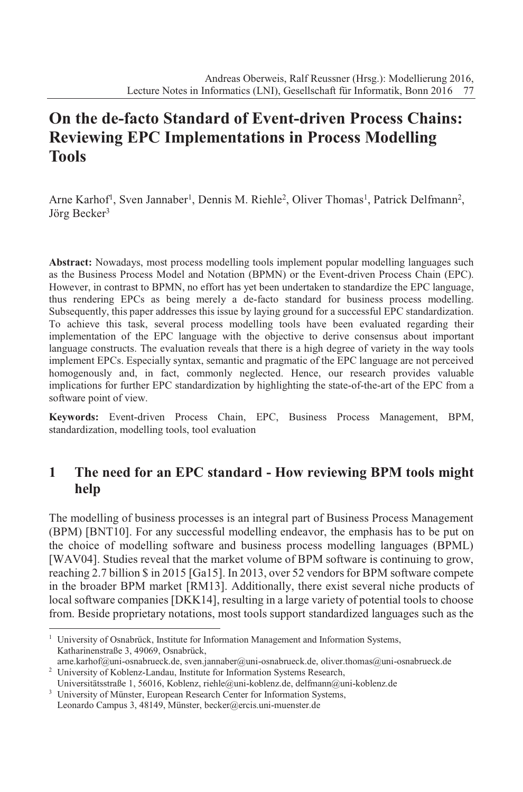# **On the de-facto Standard of Event-driven Process Chains: Reviewing EPC Implementations in Process Modelling Tools**

Arne Karhof<sup>1</sup>, Sven Jannaber<sup>1</sup>, Dennis M. Riehle<sup>2</sup>, Oliver Thomas<sup>1</sup>, Patrick Delfmann<sup>2</sup>, Jörg Becker<sup>3</sup>

**Abstract:** Nowadays, most process modelling tools implement popular modelling languages such as the Business Process Model and Notation (BPMN) or the Event-driven Process Chain (EPC). However, in contrast to BPMN, no effort has yet been undertaken to standardize the EPC language, thus rendering EPCs as being merely a de-facto standard for business process modelling. Subsequently, this paper addresses this issue by laying ground for a successful EPC standardization. To achieve this task, several process modelling tools have been evaluated regarding their implementation of the EPC language with the objective to derive consensus about important language constructs. The evaluation reveals that there is a high degree of variety in the way tools implement EPCs. Especially syntax, semantic and pragmatic of the EPC language are not perceived homogenously and, in fact, commonly neglected. Hence, our research provides valuable implications for further EPC standardization by highlighting the state-of-the-art of the EPC from a software point of view.

**Keywords:** Event-driven Process Chain, EPC, Business Process Management, BPM, standardization, modelling tools, tool evaluation

## **1 The need for an EPC standard - How reviewing BPM tools might help**

The modelling of business processes is an integral part of Business Process Management (BPM) [BNT10]. For any successful modelling endeavor, the emphasis has to be put on the choice of modelling software and business process modelling languages (BPML) [WAV04]. Studies reveal that the market volume of BPM software is continuing to grow, reaching 2.7 billion \$ in 2015 [Ga15]. In 2013, over 52 vendors for BPM software compete in the broader BPM market [RM13]. Additionally, there exist several niche products of local software companies [DKK14], resulting in a large variety of potential tools to choose from. Beside proprietary notations, most tools support standardized languages such as the

Leonardo Campus 3, 48149, Münster, becker@ercis.uni-muenster.de

<sup>&</sup>lt;sup>1</sup> University of Osnabrück, Institute for Information Management and Information Systems, Katharinenstraße 3, 49069, Osnabrück,

arne.karhof@uni-osnabrueck.de, sven.jannaber@uni-osnabrueck.de, oliver.thomas@uni-osnabrueck.de <sup>2</sup> University of Koblenz-Landau, Institute for Information Systems Research,

Universitätsstraße 1, 56016, Koblenz, riehle@uni-koblenz.de, delfmann@uni-koblenz.de <sup>3</sup> University of Münster, European Research Center for Information Systems,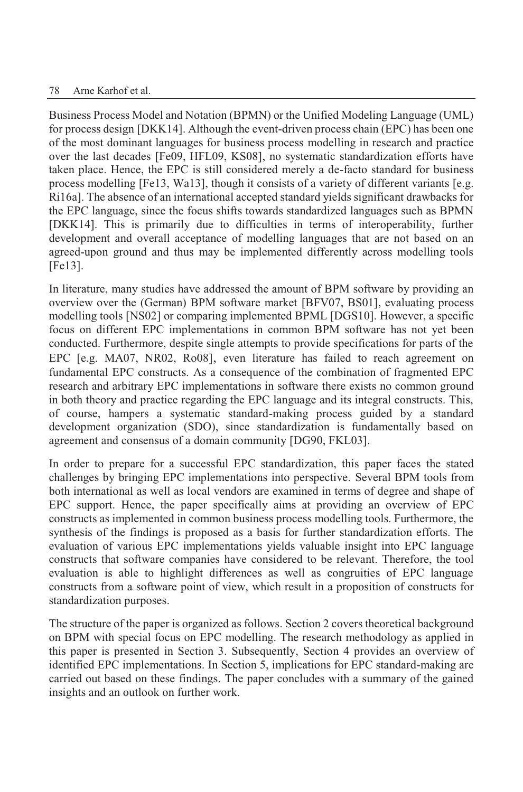Business Process Model and Notation (BPMN) or the Unified Modeling Language (UML) for process design [DKK14]. Although the event-driven process chain (EPC) has been one of the most dominant languages for business process modelling in research and practice over the last decades [Fe09, HFL09, KS08], no systematic standardization efforts have taken place. Hence, the EPC is still considered merely a de-facto standard for business process modelling [Fe13, Wa13], though it consists of a variety of different variants [e.g. Ri16a]. The absence of an international accepted standard yields significant drawbacks for the EPC language, since the focus shifts towards standardized languages such as BPMN [DKK14]. This is primarily due to difficulties in terms of interoperability, further development and overall acceptance of modelling languages that are not based on an agreed-upon ground and thus may be implemented differently across modelling tools [Fe13].

In literature, many studies have addressed the amount of BPM software by providing an overview over the (German) BPM software market [BFV07, BS01], evaluating process modelling tools [NS02] or comparing implemented BPML [DGS10]. However, a specific focus on different EPC implementations in common BPM software has not yet been conducted. Furthermore, despite single attempts to provide specifications for parts of the EPC [e.g. MA07, NR02, Ro08], even literature has failed to reach agreement on fundamental EPC constructs. As a consequence of the combination of fragmented EPC research and arbitrary EPC implementations in software there exists no common ground in both theory and practice regarding the EPC language and its integral constructs. This, of course, hampers a systematic standard-making process guided by a standard development organization (SDO), since standardization is fundamentally based on agreement and consensus of a domain community [DG90, FKL03].

In order to prepare for a successful EPC standardization, this paper faces the stated challenges by bringing EPC implementations into perspective. Several BPM tools from both international as well as local vendors are examined in terms of degree and shape of EPC support. Hence, the paper specifically aims at providing an overview of EPC constructs as implemented in common business process modelling tools. Furthermore, the synthesis of the findings is proposed as a basis for further standardization efforts. The evaluation of various EPC implementations yields valuable insight into EPC language constructs that software companies have considered to be relevant. Therefore, the tool evaluation is able to highlight differences as well as congruities of EPC language constructs from a software point of view, which result in a proposition of constructs for standardization purposes.

The structure of the paper is organized as follows. Section 2 covers theoretical background on BPM with special focus on EPC modelling. The research methodology as applied in this paper is presented in Section 3. Subsequently, Section 4 provides an overview of identified EPC implementations. In Section 5, implications for EPC standard-making are carried out based on these findings. The paper concludes with a summary of the gained insights and an outlook on further work.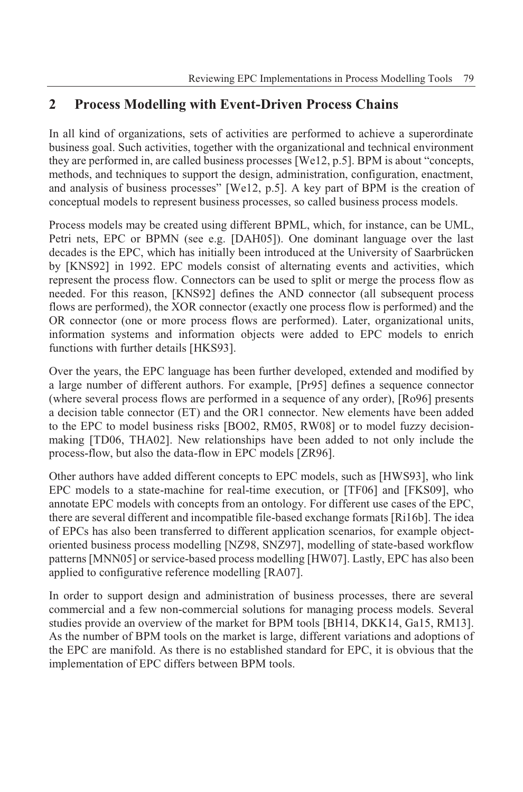## **2 Process Modelling with Event-Driven Process Chains**

In all kind of organizations, sets of activities are performed to achieve a superordinate business goal. Such activities, together with the organizational and technical environment they are performed in, are called business processes [We12, p.5]. BPM is about "concepts, methods, and techniques to support the design, administration, configuration, enactment, and analysis of business processes" [We12, p.5]. A key part of BPM is the creation of conceptual models to represent business processes, so called business process models.

Process models may be created using different BPML, which, for instance, can be UML, Petri nets, EPC or BPMN (see e.g. [DAH05]). One dominant language over the last decades is the EPC, which has initially been introduced at the University of Saarbrücken by [KNS92] in 1992. EPC models consist of alternating events and activities, which represent the process flow. Connectors can be used to split or merge the process flow as needed. For this reason, [KNS92] defines the AND connector (all subsequent process flows are performed), the XOR connector (exactly one process flow is performed) and the OR connector (one or more process flows are performed). Later, organizational units, information systems and information objects were added to EPC models to enrich functions with further details [HKS93].

Over the years, the EPC language has been further developed, extended and modified by a large number of different authors. For example, [Pr95] defines a sequence connector (where several process flows are performed in a sequence of any order), [Ro96] presents a decision table connector (ET) and the OR1 connector. New elements have been added to the EPC to model business risks [BO02, RM05, RW08] or to model fuzzy decisionmaking [TD06, THA02]. New relationships have been added to not only include the process-flow, but also the data-flow in EPC models [ZR96].

Other authors have added different concepts to EPC models, such as [HWS93], who link EPC models to a state-machine for real-time execution, or [TF06] and [FKS09], who annotate EPC models with concepts from an ontology. For different use cases of the EPC, there are several different and incompatible file-based exchange formats [Ri16b]. The idea of EPCs has also been transferred to different application scenarios, for example objectoriented business process modelling [NZ98, SNZ97], modelling of state-based workflow patterns [MNN05] or service-based process modelling [HW07]. Lastly, EPC has also been applied to configurative reference modelling [RA07].

In order to support design and administration of business processes, there are several commercial and a few non-commercial solutions for managing process models. Several studies provide an overview of the market for BPM tools [BH14, DKK14, Ga15, RM13]. As the number of BPM tools on the market is large, different variations and adoptions of the EPC are manifold. As there is no established standard for EPC, it is obvious that the implementation of EPC differs between BPM tools.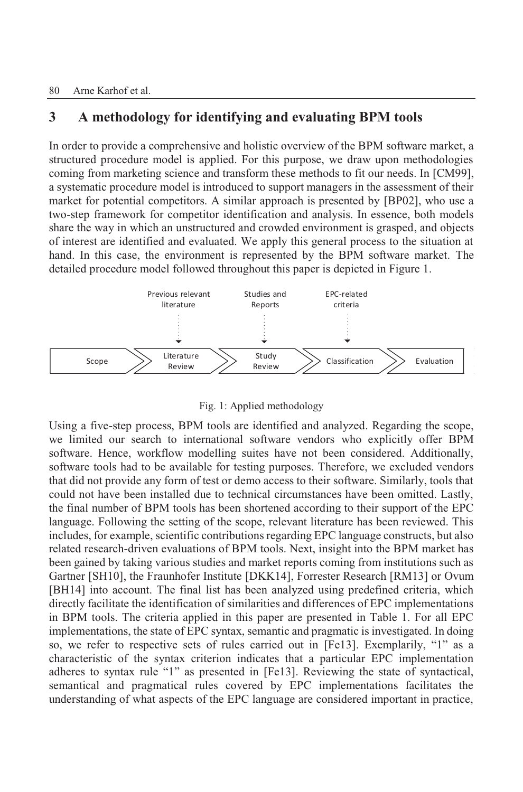## **3 A methodology for identifying and evaluating BPM tools**

In order to provide a comprehensive and holistic overview of the BPM software market, a structured procedure model is applied. For this purpose, we draw upon methodologies coming from marketing science and transform these methods to fit our needs. In [CM99], a systematic procedure model is introduced to support managers in the assessment of their market for potential competitors. A similar approach is presented by [BP02], who use a two-step framework for competitor identification and analysis. In essence, both models share the way in which an unstructured and crowded environment is grasped, and objects of interest are identified and evaluated. We apply this general process to the situation at hand. In this case, the environment is represented by the BPM software market. The detailed procedure model followed throughout this paper is depicted in Figure 1.



Fig. 1: Applied methodology

Using a five-step process, BPM tools are identified and analyzed. Regarding the scope, we limited our search to international software vendors who explicitly offer BPM software. Hence, workflow modelling suites have not been considered. Additionally, software tools had to be available for testing purposes. Therefore, we excluded vendors that did not provide any form of test or demo access to their software. Similarly, tools that could not have been installed due to technical circumstances have been omitted. Lastly, the final number of BPM tools has been shortened according to their support of the EPC language. Following the setting of the scope, relevant literature has been reviewed. This includes, for example, scientific contributions regarding EPC language constructs, but also related research-driven evaluations of BPM tools. Next, insight into the BPM market has been gained by taking various studies and market reports coming from institutions such as Gartner [SH10], the Fraunhofer Institute [DKK14], Forrester Research [RM13] or Ovum [BH14] into account. The final list has been analyzed using predefined criteria, which directly facilitate the identification of similarities and differences of EPC implementations in BPM tools. The criteria applied in this paper are presented in Table 1. For all EPC implementations, the state of EPC syntax, semantic and pragmatic is investigated. In doing so, we refer to respective sets of rules carried out in [Fe13]. Exemplarily, "1" as a characteristic of the syntax criterion indicates that a particular EPC implementation adheres to syntax rule "1" as presented in [Fe13]. Reviewing the state of syntactical, semantical and pragmatical rules covered by EPC implementations facilitates the understanding of what aspects of the EPC language are considered important in practice,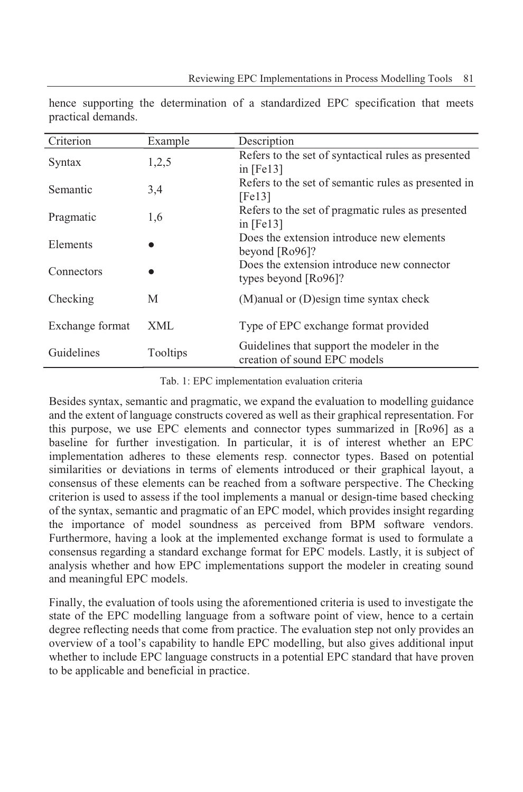| Criterion       | Example    | Description                                                                |
|-----------------|------------|----------------------------------------------------------------------------|
| Syntax          | 1,2,5      | Refers to the set of syntactical rules as presented<br>in $[Fe13]$         |
| Semantic        | 3,4        | Refers to the set of semantic rules as presented in<br>[Fe13]              |
| Pragmatic       | 1,6        | Refers to the set of pragmatic rules as presented<br>in $[Fe13]$           |
| Elements        |            | Does the extension introduce new elements<br>beyond $[Ro96]$ ?             |
| Connectors      |            | Does the extension introduce new connector<br>types beyond [Ro96]?         |
| Checking        | М          | $(M)$ anual or $(D)$ esign time syntax check                               |
| Exchange format | <b>XML</b> | Type of EPC exchange format provided                                       |
| Guidelines      | Tooltips   | Guidelines that support the modeler in the<br>creation of sound EPC models |

hence supporting the determination of a standardized EPC specification that meets practical demands.

Tab. 1: EPC implementation evaluation criteria

Besides syntax, semantic and pragmatic, we expand the evaluation to modelling guidance and the extent of language constructs covered as well as their graphical representation. For this purpose, we use EPC elements and connector types summarized in [Ro96] as a baseline for further investigation. In particular, it is of interest whether an EPC implementation adheres to these elements resp. connector types. Based on potential similarities or deviations in terms of elements introduced or their graphical layout, a consensus of these elements can be reached from a software perspective. The Checking criterion is used to assess if the tool implements a manual or design-time based checking of the syntax, semantic and pragmatic of an EPC model, which provides insight regarding the importance of model soundness as perceived from BPM software vendors. Furthermore, having a look at the implemented exchange format is used to formulate a consensus regarding a standard exchange format for EPC models. Lastly, it is subject of analysis whether and how EPC implementations support the modeler in creating sound and meaningful EPC models.

Finally, the evaluation of tools using the aforementioned criteria is used to investigate the state of the EPC modelling language from a software point of view, hence to a certain degree reflecting needs that come from practice. The evaluation step not only provides an overview of a tool's capability to handle EPC modelling, but also gives additional input whether to include EPC language constructs in a potential EPC standard that have proven to be applicable and beneficial in practice.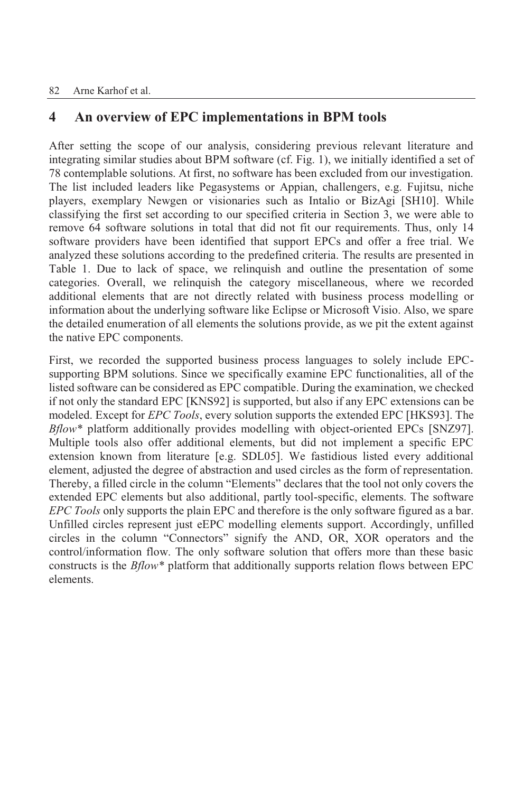## **4 An overview of EPC implementations in BPM tools**

After setting the scope of our analysis, considering previous relevant literature and integrating similar studies about BPM software (cf. Fig. 1), we initially identified a set of 78 contemplable solutions. At first, no software has been excluded from our investigation. The list included leaders like Pegasystems or Appian, challengers, e.g. Fujitsu, niche players, exemplary Newgen or visionaries such as Intalio or BizAgi [SH10]. While classifying the first set according to our specified criteria in Section 3, we were able to remove 64 software solutions in total that did not fit our requirements. Thus, only 14 software providers have been identified that support EPCs and offer a free trial. We analyzed these solutions according to the predefined criteria. The results are presented in Table 1. Due to lack of space, we relinquish and outline the presentation of some categories. Overall, we relinquish the category miscellaneous, where we recorded additional elements that are not directly related with business process modelling or information about the underlying software like Eclipse or Microsoft Visio. Also, we spare the detailed enumeration of all elements the solutions provide, as we pit the extent against the native EPC components.

First, we recorded the supported business process languages to solely include EPCsupporting BPM solutions. Since we specifically examine EPC functionalities, all of the listed software can be considered as EPC compatible. During the examination, we checked if not only the standard EPC [KNS92] is supported, but also if any EPC extensions can be modeled. Except for *EPC Tools*, every solution supports the extended EPC [HKS93]. The *Bflow\** platform additionally provides modelling with object-oriented EPCs [SNZ97]. Multiple tools also offer additional elements, but did not implement a specific EPC extension known from literature [e.g. SDL05]. We fastidious listed every additional element, adjusted the degree of abstraction and used circles as the form of representation. Thereby, a filled circle in the column "Elements" declares that the tool not only covers the extended EPC elements but also additional, partly tool-specific, elements. The software *EPC Tools* only supports the plain EPC and therefore is the only software figured as a bar. Unfilled circles represent just eEPC modelling elements support. Accordingly, unfilled circles in the column "Connectors" signify the AND, OR, XOR operators and the control/information flow. The only software solution that offers more than these basic constructs is the *Bflow\** platform that additionally supports relation flows between EPC elements.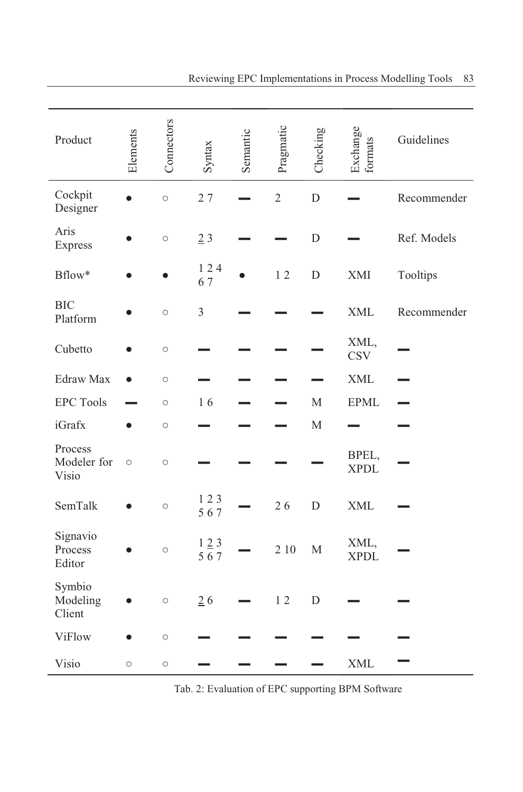| Product                         | Elements | Connectors | Syntax         | Semantic | Pragmatic      | Checking    | Exchange<br>formats  | Guidelines  |
|---------------------------------|----------|------------|----------------|----------|----------------|-------------|----------------------|-------------|
| Cockpit<br>Designer             |          | $\circ$    | 27             |          | $\overline{2}$ | D           |                      | Recommender |
| Aris<br>Express                 |          | $\circ$    | 23             |          |                | D           |                      | Ref. Models |
| Bflow*                          |          |            | 124<br>67      |          | 12             | $\mathbf D$ | XMI                  | Tooltips    |
| <b>BIC</b><br>Platform          |          | $\circ$    | $\mathfrak{Z}$ |          |                |             | <b>XML</b>           | Recommender |
| Cubetto                         |          | $\circ$    |                |          |                |             | XML,<br><b>CSV</b>   |             |
| Edraw Max                       |          | $\bigcirc$ |                |          |                |             | <b>XML</b>           |             |
| <b>EPC Tools</b>                |          | $\circ$    | 16             |          |                | $\mathbf M$ | <b>EPML</b>          |             |
| iGrafx                          |          | $\circ$    |                |          |                | $\mathbf M$ |                      |             |
| Process<br>Modeler for<br>Visio | $\circ$  | $\circ$    |                |          |                |             | BPEL,<br><b>XPDL</b> |             |
| SemTalk                         |          | $\circ$    | 123<br>567     |          | 26             | D           | <b>XML</b>           |             |
| Signavio<br>Process<br>Editor   |          | $\circ$    | 123<br>567     |          | 2 10           | $\mathbf M$ | XML,<br><b>XPDL</b>  |             |
| Symbio<br>Modeling<br>Client    |          | $\circ$    | 26             |          | 12             | D           |                      |             |
| <b>ViFlow</b>                   |          | $\circ$    |                |          |                |             |                      |             |
| Visio                           | $\circ$  | $\bigcirc$ |                |          |                |             | <b>XML</b>           |             |

Tab. 2: Evaluation of EPC supporting BPM Software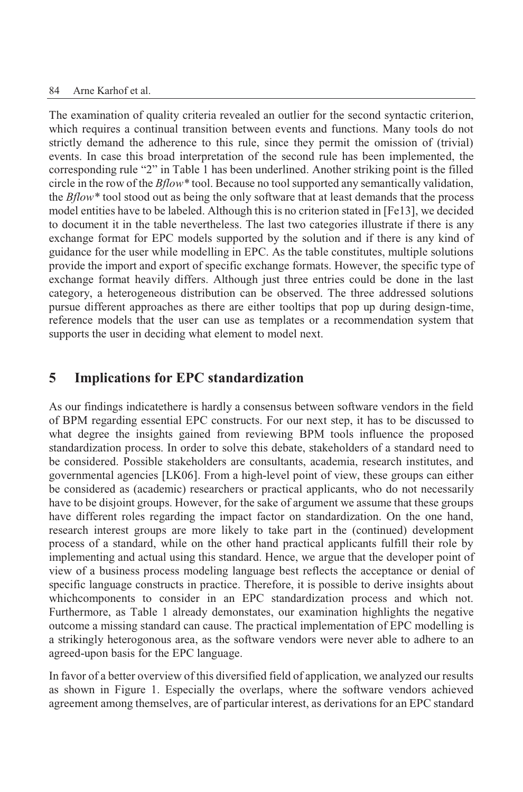The examination of quality criteria revealed an outlier for the second syntactic criterion, which requires a continual transition between events and functions. Many tools do not strictly demand the adherence to this rule, since they permit the omission of (trivial) events. In case this broad interpretation of the second rule has been implemented, the corresponding rule "2" in Table 1 has been underlined. Another striking point is the filled circle in the row of the *Bflow\** tool. Because no toolsupported any semantically validation, the *Bflow\** tool stood out as being the only software that at least demands that the process model entities have to be labeled. Although this is no criterion stated in [Fe13], we decided to document it in the table nevertheless. The last two categories illustrate if there is any exchange format for EPC models supported by the solution and if there is any kind of guidance for the user while modelling in EPC. As the table constitutes, multiple solutions provide the import and export of specific exchange formats. However, the specific type of exchange format heavily differs. Although just three entries could be done in the last category, a heterogeneous distribution can be observed. The three addressed solutions pursue different approaches as there are either tooltips that pop up during design-time, reference models that the user can use as templates or a recommendation system that supports the user in deciding what element to model next.

## **5 Implications for EPC standardization**

As our findings indicatethere is hardly a consensus between software vendors in the field of BPM regarding essential EPC constructs. For our next step, it has to be discussed to what degree the insights gained from reviewing BPM tools influence the proposed standardization process. In order to solve this debate, stakeholders of a standard need to be considered. Possible stakeholders are consultants, academia, research institutes, and governmental agencies [LK06]. From a high-level point of view, these groups can either be considered as (academic) researchers or practical applicants, who do not necessarily have to be disjoint groups. However, for the sake of argument we assume that these groups have different roles regarding the impact factor on standardization. On the one hand, research interest groups are more likely to take part in the (continued) development process of a standard, while on the other hand practical applicants fulfill their role by implementing and actual using this standard. Hence, we argue that the developer point of view of a business process modeling language best reflects the acceptance or denial of specific language constructs in practice. Therefore, it is possible to derive insights about whichcomponents to consider in an EPC standardization process and which not. Furthermore, as Table 1 already demonstates, our examination highlights the negative outcome a missing standard can cause. The practical implementation of EPC modelling is a strikingly heterogonous area, as the software vendors were never able to adhere to an agreed-upon basis for the EPC language.

In favor of a better overview of this diversified field of application, we analyzed our results as shown in Figure 1. Especially the overlaps, where the software vendors achieved agreement among themselves, are of particular interest, as derivations for an EPC standard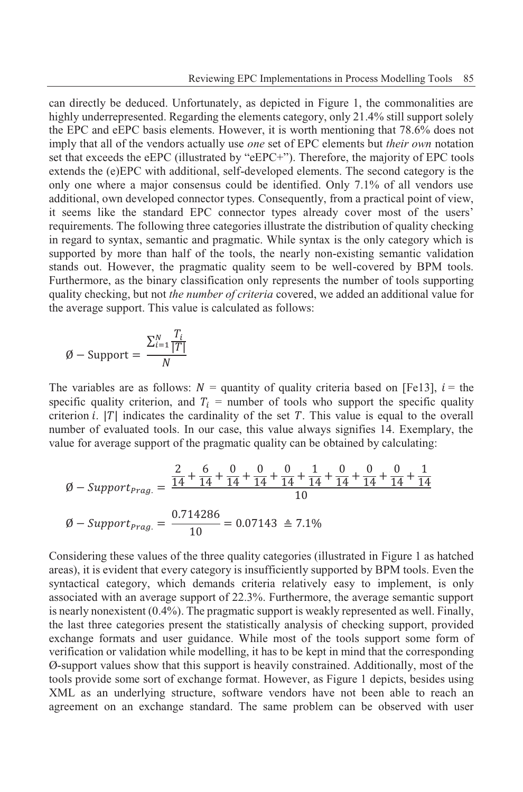can directly be deduced. Unfortunately, as depicted in Figure 1, the commonalities are highly underrepresented. Regarding the elements category, only 21.4% still support solely the EPC and eEPC basis elements. However, it is worth mentioning that 78.6% does not imply that all of the vendors actually use *one* set of EPC elements but *their own* notation set that exceeds the eEPC (illustrated by "eEPC+"). Therefore, the majority of EPC tools extends the (e)EPC with additional, self-developed elements. The second category is the only one where a major consensus could be identified. Only 7.1% of all vendors use additional, own developed connector types. Consequently, from a practical point of view, it seems like the standard EPC connector types already cover most of the users' requirements. The following three categories illustrate the distribution of quality checking in regard to syntax, semantic and pragmatic. While syntax is the only category which is supported by more than half of the tools, the nearly non-existing semantic validation stands out. However, the pragmatic quality seem to be well-covered by BPM tools. Furthermore, as the binary classification only represents the number of tools supporting quality checking, but not *the number of criteria* covered, we added an additional value for the average support. This value is calculated as follows:

$$
\emptyset - \text{Support} = \frac{\sum_{i=1}^{N} \frac{T_i}{|T|}}{N}
$$

The variables are as follows:  $N =$  quantity of quality criteria based on [Fe13],  $i =$  the specific quality criterion, and  $T_i$  = number of tools who support the specific quality criterion *i*.  $|T|$  indicates the cardinality of the set T. This value is equal to the overall number of evaluated tools. In our case, this value always signifies 14. Exemplary, the value for average support of the pragmatic quality can be obtained by calculating:

$$
\emptyset - Support_{Prag.} = \frac{\frac{2}{14} + \frac{6}{14} + \frac{0}{14} + \frac{0}{14} + \frac{1}{14} + \frac{0}{14} + \frac{0}{14} + \frac{0}{14} + \frac{0}{14} + \frac{1}{14}}{10}
$$

$$
\emptyset - Support_{Prag.} = \frac{0.714286}{10} = 0.07143 \triangleq 7.1\%
$$

Considering these values of the three quality categories (illustrated in Figure 1 as hatched areas), it is evident that every category is insufficiently supported by BPM tools. Even the syntactical category, which demands criteria relatively easy to implement, is only associated with an average support of 22.3%. Furthermore, the average semantic support is nearly nonexistent (0.4%). The pragmatic support is weakly represented as well. Finally, the last three categories present the statistically analysis of checking support, provided exchange formats and user guidance. While most of the tools support some form of verification or validation while modelling, it has to be kept in mind that the corresponding Ø-support values show that this support is heavily constrained. Additionally, most of the tools provide some sort of exchange format. However, as Figure 1 depicts, besides using XML as an underlying structure, software vendors have not been able to reach an agreement on an exchange standard. The same problem can be observed with user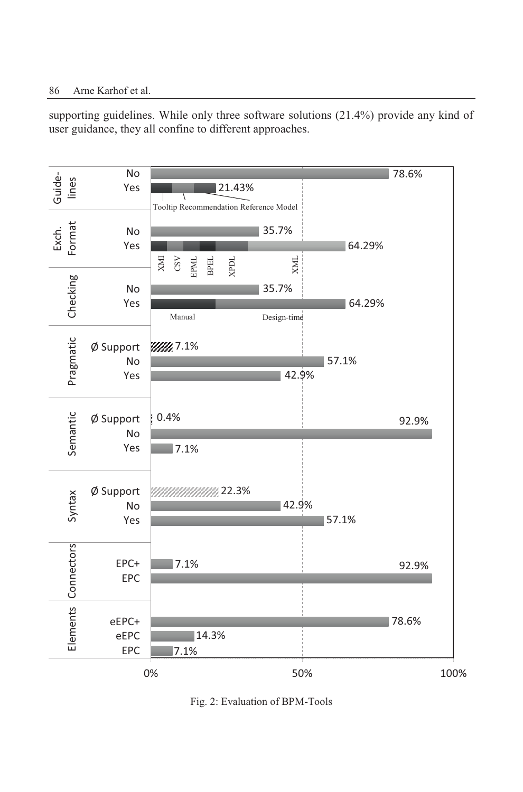supporting guidelines. While only three software solutions (21.4%) provide any kind of user guidance, they all confine to different approaches.



Fig. 2: Evaluation of BPM-Tools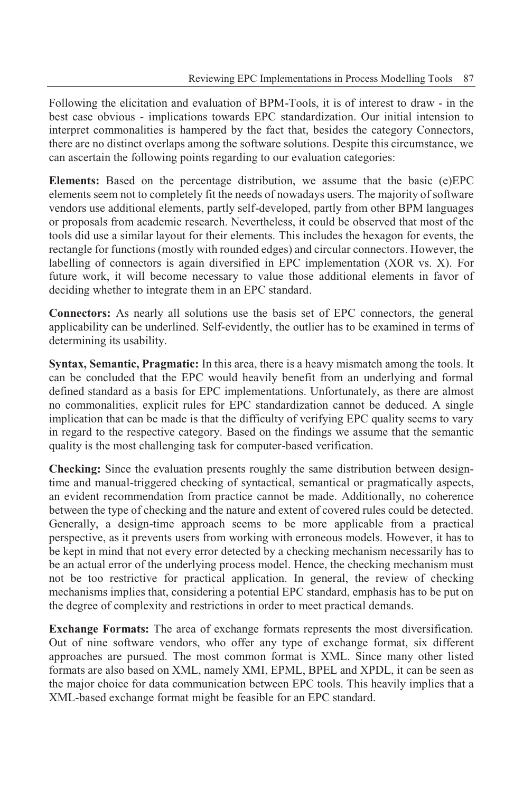Following the elicitation and evaluation of BPM-Tools, it is of interest to draw - in the best case obvious - implications towards EPC standardization. Our initial intension to interpret commonalities is hampered by the fact that, besides the category Connectors, there are no distinct overlaps among the software solutions. Despite this circumstance, we can ascertain the following points regarding to our evaluation categories:

**Elements:** Based on the percentage distribution, we assume that the basic (e)EPC elements seem not to completely fit the needs of nowadays users. The majority of software vendors use additional elements, partly self-developed, partly from other BPM languages or proposals from academic research. Nevertheless, it could be observed that most of the tools did use a similar layout for their elements. This includes the hexagon for events, the rectangle for functions (mostly with rounded edges) and circular connectors. However, the labelling of connectors is again diversified in EPC implementation (XOR vs. X). For future work, it will become necessary to value those additional elements in favor of deciding whether to integrate them in an EPC standard.

**Connectors:** As nearly all solutions use the basis set of EPC connectors, the general applicability can be underlined. Self-evidently, the outlier has to be examined in terms of determining its usability.

**Syntax, Semantic, Pragmatic:** In this area, there is a heavy mismatch among the tools. It can be concluded that the EPC would heavily benefit from an underlying and formal defined standard as a basis for EPC implementations. Unfortunately, as there are almost no commonalities, explicit rules for EPC standardization cannot be deduced. A single implication that can be made is that the difficulty of verifying EPC quality seems to vary in regard to the respective category. Based on the findings we assume that the semantic quality is the most challenging task for computer-based verification.

**Checking:** Since the evaluation presents roughly the same distribution between designtime and manual-triggered checking of syntactical, semantical or pragmatically aspects, an evident recommendation from practice cannot be made. Additionally, no coherence between the type of checking and the nature and extent of covered rules could be detected. Generally, a design-time approach seems to be more applicable from a practical perspective, as it prevents users from working with erroneous models. However, it has to be kept in mind that not every error detected by a checking mechanism necessarily has to be an actual error of the underlying process model. Hence, the checking mechanism must not be too restrictive for practical application. In general, the review of checking mechanisms implies that, considering a potential EPC standard, emphasis has to be put on the degree of complexity and restrictions in order to meet practical demands.

**Exchange Formats:** The area of exchange formats represents the most diversification. Out of nine software vendors, who offer any type of exchange format, six different approaches are pursued. The most common format is XML. Since many other listed formats are also based on XML, namely XMI, EPML, BPEL and XPDL, it can be seen as the major choice for data communication between EPC tools. This heavily implies that a XML-based exchange format might be feasible for an EPC standard.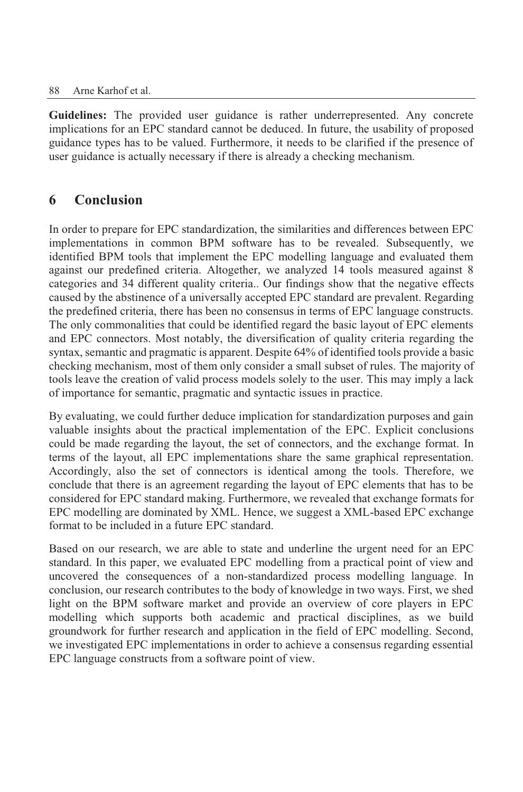#### 88 Arne Karhof et al.

**Guidelines:** The provided user guidance is rather underrepresented. Any concrete implications for an EPC standard cannot be deduced. In future, the usability of proposed guidance types has to be valued. Furthermore, it needs to be clarified if the presence of user guidance is actually necessary if there is already a checking mechanism.

## **6 Conclusion**

In order to prepare for EPC standardization, the similarities and differences between EPC implementations in common BPM software has to be revealed. Subsequently, we identified BPM tools that implement the EPC modelling language and evaluated them against our predefined criteria. Altogether, we analyzed 14 tools measured against 8 categories and 34 different quality criteria.. Our findings show that the negative effects caused by the abstinence of a universally accepted EPC standard are prevalent. Regarding the predefined criteria, there has been no consensus in terms of EPC language constructs. The only commonalities that could be identified regard the basic layout of EPC elements and EPC connectors. Most notably, the diversification of quality criteria regarding the syntax, semantic and pragmatic is apparent. Despite 64% of identified tools provide a basic checking mechanism, most of them only consider a small subset of rules. The majority of tools leave the creation of valid process models solely to the user. This may imply a lack of importance for semantic, pragmatic and syntactic issues in practice.

By evaluating, we could further deduce implication for standardization purposes and gain valuable insights about the practical implementation of the EPC. Explicit conclusions could be made regarding the layout, the set of connectors, and the exchange format. In terms of the layout, all EPC implementations share the same graphical representation. Accordingly, also the set of connectors is identical among the tools. Therefore, we conclude that there is an agreement regarding the layout of EPC elements that has to be considered for EPC standard making. Furthermore, we revealed that exchange formats for EPC modelling are dominated by XML. Hence, we suggest a XML-based EPC exchange format to be included in a future EPC standard.

Based on our research, we are able to state and underline the urgent need for an EPC standard. In this paper, we evaluated EPC modelling from a practical point of view and uncovered the consequences of a non-standardized process modelling language. In conclusion, our research contributes to the body of knowledge in two ways. First, we shed light on the BPM software market and provide an overview of core players in EPC modelling which supports both academic and practical disciplines, as we build groundwork for further research and application in the field of EPC modelling. Second, we investigated EPC implementations in order to achieve a consensus regarding essential EPC language constructs from a software point of view.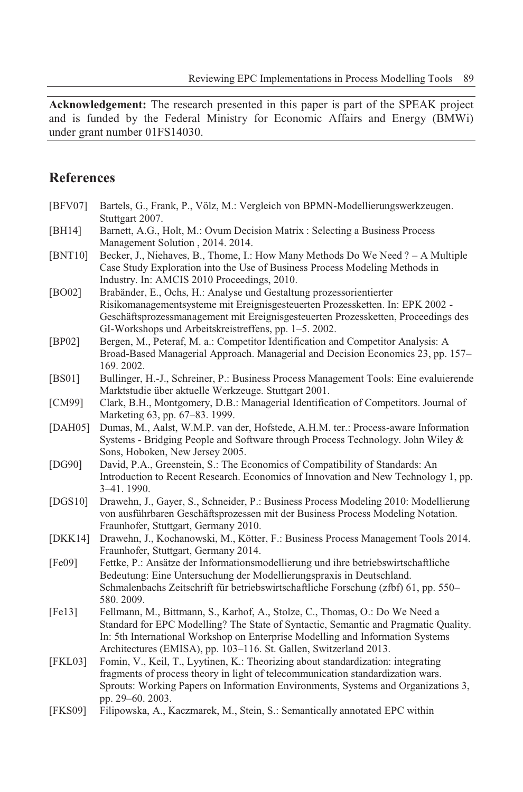**Acknowledgement:** The research presented in this paper is part of the SPEAK project and is funded by the Federal Ministry for Economic Affairs and Energy (BMWi) under grant number 01FS14030.

### **References**

| [BFV07]        | Bartels, G., Frank, P., Völz, M.: Vergleich von BPMN-Modellierungswerkzeugen.<br>Stuttgart 2007.                                                                                                                                                                                                                           |
|----------------|----------------------------------------------------------------------------------------------------------------------------------------------------------------------------------------------------------------------------------------------------------------------------------------------------------------------------|
| [BH14]         | Barnett, A.G., Holt, M.: Ovum Decision Matrix : Selecting a Business Process<br>Management Solution, 2014. 2014.                                                                                                                                                                                                           |
| [BNT10]        | Becker, J., Niehaves, B., Thome, I.: How Many Methods Do We Need ? - A Multiple<br>Case Study Exploration into the Use of Business Process Modeling Methods in                                                                                                                                                             |
| [BO02]         | Industry. In: AMCIS 2010 Proceedings, 2010.<br>Brabänder, E., Ochs, H.: Analyse und Gestaltung prozessorientierter<br>Risikomanagementsysteme mit Ereignisgesteuerten Prozessketten. In: EPK 2002 -<br>Geschäftsprozessmanagement mit Ereignisgesteuerten Prozessketten, Proceedings des                                   |
| [BP02]         | GI-Workshops und Arbeitskreistreffens, pp. 1–5. 2002.<br>Bergen, M., Peteraf, M. a.: Competitor Identification and Competitor Analysis: A<br>Broad-Based Managerial Approach. Managerial and Decision Economics 23, pp. 157-                                                                                               |
| [BS01]         | 169.2002.<br>Bullinger, H.-J., Schreiner, P.: Business Process Management Tools: Eine evaluierende<br>Marktstudie über aktuelle Werkzeuge. Stuttgart 2001.                                                                                                                                                                 |
| [CM99]         | Clark, B.H., Montgomery, D.B.: Managerial Identification of Competitors. Journal of<br>Marketing 63, pp. 67-83. 1999.                                                                                                                                                                                                      |
| [DAH05]        | Dumas, M., Aalst, W.M.P. van der, Hofstede, A.H.M. ter.: Process-aware Information<br>Systems - Bridging People and Software through Process Technology. John Wiley &<br>Sons, Hoboken, New Jersey 2005.                                                                                                                   |
| [DG90]         | David, P.A., Greenstein, S.: The Economics of Compatibility of Standards: An<br>Introduction to Recent Research. Economics of Innovation and New Technology 1, pp.<br>3-41.1990.                                                                                                                                           |
| [DGS10]        | Drawehn, J., Gayer, S., Schneider, P.: Business Process Modeling 2010: Modellierung<br>von ausführbaren Geschäftsprozessen mit der Business Process Modeling Notation.<br>Fraunhofer, Stuttgart, Germany 2010.                                                                                                             |
| [DKK14]        | Drawehn, J., Kochanowski, M., Kötter, F.: Business Process Management Tools 2014.<br>Fraunhofer, Stuttgart, Germany 2014.                                                                                                                                                                                                  |
| [Fe09]         | Fettke, P.: Ansätze der Informationsmodellierung und ihre betriebswirtschaftliche<br>Bedeutung: Eine Untersuchung der Modellierungspraxis in Deutschland.<br>Schmalenbachs Zeitschrift für betriebswirtschaftliche Forschung (zfbf) 61, pp. 550-<br>580.2009.                                                              |
| [Fe13]         | Fellmann, M., Bittmann, S., Karhof, A., Stolze, C., Thomas, O.: Do We Need a<br>Standard for EPC Modelling? The State of Syntactic, Semantic and Pragmatic Quality.<br>In: 5th International Workshop on Enterprise Modelling and Information Systems<br>Architectures (EMISA), pp. 103-116. St. Gallen, Switzerland 2013. |
| [FKL03]        | Fomin, V., Keil, T., Lyytinen, K.: Theorizing about standardization: integrating<br>fragments of process theory in light of telecommunication standardization wars.<br>Sprouts: Working Papers on Information Environments, Systems and Organizations 3,<br>pp. 29-60. 2003.                                               |
| <b>[FKS09]</b> | Filipowska, A., Kaczmarek, M., Stein, S.: Semantically annotated EPC within                                                                                                                                                                                                                                                |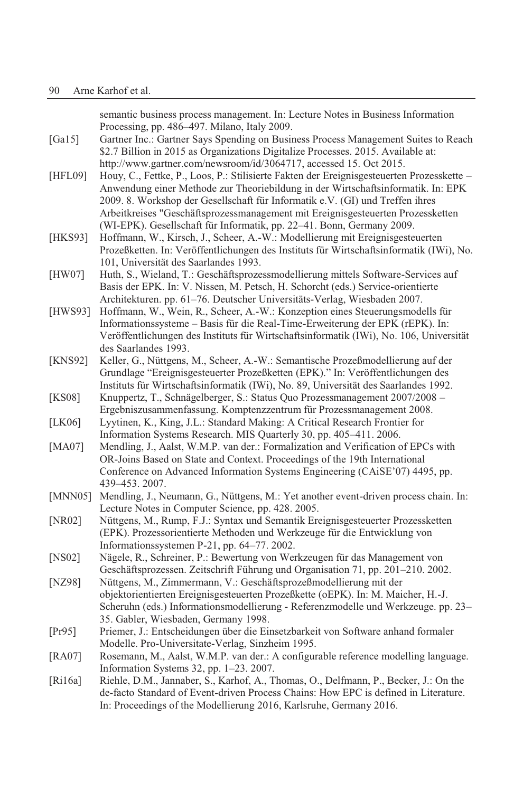semantic business process management. In: Lecture Notes in Business Information Processing, pp. 486–497. Milano, Italy 2009. [Ga15] Gartner Inc.: Gartner Says Spending on Business Process Management Suites to Reach \$2.7 Billion in 2015 as Organizations Digitalize Processes. 2015. Available at: http://www.gartner.com/newsroom/id/3064717, accessed 15. Oct 2015. [HFL09] Houy, C., Fettke, P., Loos, P.: Stilisierte Fakten der Ereignisgesteuerten Prozesskette – Anwendung einer Methode zur Theoriebildung in der Wirtschaftsinformatik. In: EPK 2009. 8. Workshop der Gesellschaft für Informatik e.V. (GI) und Treffen ihres Arbeitkreises "Geschäftsprozessmanagement mit Ereignisgesteuerten Prozessketten (WI-EPK). Gesellschaft für Informatik, pp. 22–41. Bonn, Germany 2009. [HKS93] Hoffmann, W., Kirsch, J., Scheer, A.-W.: Modellierung mit Ereignisgesteuerten Prozeßketten. In: Veröffentlichungen des Instituts für Wirtschaftsinformatik (IWi), No. 101, Universität des Saarlandes 1993. [HW07] Huth, S., Wieland, T.: Geschäftsprozessmodellierung mittels Software-Services auf Basis der EPK. In: V. Nissen, M. Petsch, H. Schorcht (eds.) Service-orientierte Architekturen. pp. 61–76. Deutscher Universitäts-Verlag, Wiesbaden 2007. [HWS93] Hoffmann, W., Wein, R., Scheer, A.-W.: Konzeption eines Steuerungsmodells für Informationssysteme – Basis für die Real-Time-Erweiterung der EPK (rEPK). In: Veröffentlichungen des Instituts für Wirtschaftsinformatik (IWi), No. 106, Universität des Saarlandes 1993. [KNS92] Keller, G., Nüttgens, M., Scheer, A.-W.: Semantische Prozeßmodellierung auf der Grundlage "Ereignisgesteuerter Prozeßketten (EPK)." In: Veröffentlichungen des Instituts für Wirtschaftsinformatik (IWi), No. 89, Universität des Saarlandes 1992. [KS08] Knuppertz, T., Schnägelberger, S.: Status Quo Prozessmanagement 2007/2008 – Ergebniszusammenfassung. Komptenzzentrum für Prozessmanagement 2008. [LK06] Lyytinen, K., King, J.L.: Standard Making: A Critical Research Frontier for Information Systems Research. MIS Quarterly 30, pp. 405–411. 2006. [MA07] Mendling, J., Aalst, W.M.P. van der.: Formalization and Verification of EPCs with OR-Joins Based on State and Context. Proceedings of the 19th International Conference on Advanced Information Systems Engineering (CAiSE'07) 4495, pp. 439–453. 2007. [MNN05] Mendling, J., Neumann, G., Nüttgens, M.: Yet another event-driven process chain. In: Lecture Notes in Computer Science, pp. 428. 2005. [NR02] Nüttgens, M., Rump, F.J.: Syntax und Semantik Ereignisgesteuerter Prozessketten (EPK). Prozessorientierte Methoden und Werkzeuge für die Entwicklung von Informationssystemen P-21, pp. 64–77. 2002. [NS02] Nägele, R., Schreiner, P.: Bewertung von Werkzeugen für das Management von Geschäftsprozessen. Zeitschrift Führung und Organisation 71, pp. 201–210. 2002. [NZ98] Nüttgens, M., Zimmermann, V.: Geschäftsprozeßmodellierung mit der objektorientierten Ereignisgesteuerten Prozeßkette (oEPK). In: M. Maicher, H.-J. Scheruhn (eds.) Informationsmodellierung - Referenzmodelle und Werkzeuge. pp. 23– 35. Gabler, Wiesbaden, Germany 1998. [Pr95] Priemer, J.: Entscheidungen über die Einsetzbarkeit von Software anhand formaler Modelle. Pro-Universitate-Verlag, Sinzheim 1995. [RA07] Rosemann, M., Aalst, W.M.P. van der.: A configurable reference modelling language. Information Systems 32, pp. 1–23. 2007. [Ri16a] Riehle, D.M., Jannaber, S., Karhof, A., Thomas, O., Delfmann, P., Becker, J.: On the de-facto Standard of Event-driven Process Chains: How EPC is defined in Literature.

In: Proceedings of the Modellierung 2016, Karlsruhe, Germany 2016.